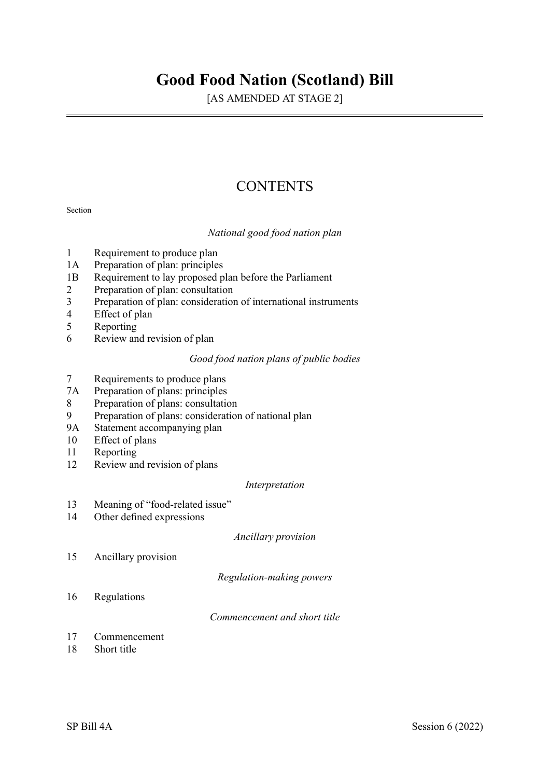# **Good Food Nation (Scotland) Bill**

[AS AMENDED AT STAGE 2]

# **CONTENTS**

#### Section

*National good food nation plan* 

- 1 Requirement to produce plan
- 1A Preparation of plan: principles
- 1B Requirement to lay proposed plan before the Parliament<br>2 Preparation of plan: consultation
- Preparation of plan: consultation
- 3 Preparation of plan: consideration of international instruments
- 4 Effect of plan<br>5 Reporting
- 5 Reporting<br>6 Review an
- Review and revision of plan

# *Good food nation plans of public bodies*

- 7 Requirements to produce plans
- 7A Preparation of plans: principles
- 8 Preparation of plans: consultation
- 9 Preparation of plans: consideration of national plan
- 9A Statement accompanying plan<br>10 Effect of plans
- Effect of plans
- 11 Reporting
- 12 Review and revision of plans

#### *Interpretation*

- 13 Meaning of "food-related issue"
- 14 Other defined expressions

*Ancillary provision* 

15 Ancillary provision

*Regulation-making powers* 

16 Regulations

*Commencement and short title* 

- 17 Commencement
- 18 Short title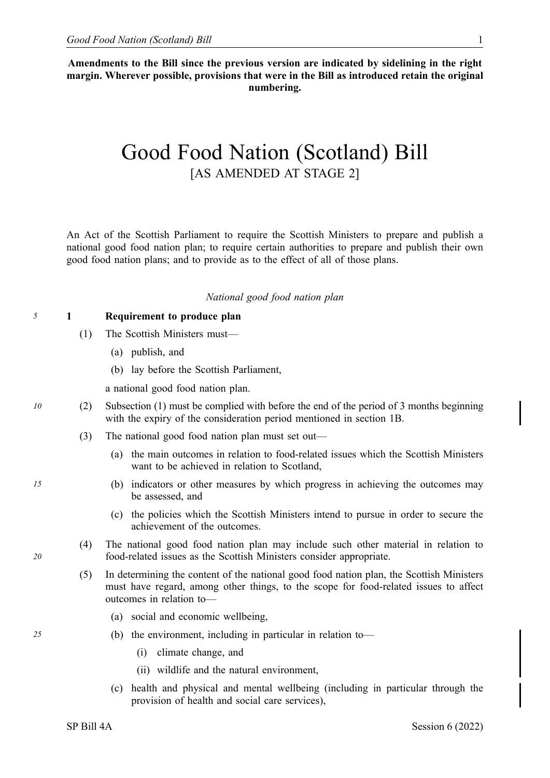**Amendments to the Bill since the previous version are indicated by sidelining in the right margin. Wherever possible, provisions that were in the Bill as introduced retain the original numbering.** 

# Good Food Nation (Scotland) Bill [AS AMENDED AT STAGE 2]

An Act of the Scottish Parliament to require the Scottish Ministers to prepare and publish a national good food nation plan; to require certain authorities to prepare and publish their own good food nation plans; and to provide as to the effect of all of those plans.

#### *National good food nation plan*

#### *5* **1 Requirement to produce plan**

- (1) The Scottish Ministers must—
	- (a) publish, and
	- (b) lay before the Scottish Parliament,

a national good food nation plan.

- *10* (2) Subsection (1) must be complied with before the end of the period of 3 months beginning with the expiry of the consideration period mentioned in section 1B.
	- (3) The national good food nation plan must set out—
		- (a) the main outcomes in relation to food-related issues which the Scottish Ministers want to be achieved in relation to Scotland,
- *15* (b) indicators or other measures by which progress in achieving the outcomes may be assessed, and
	- (c) the policies which the Scottish Ministers intend to pursue in order to secure the achievement of the outcomes.
	- (4) The national good food nation plan may include such other material in relation to food-related issues as the Scottish Ministers consider appropriate.
	- (5) In determining the content of the national good food nation plan, the Scottish Ministers must have regard, among other things, to the scope for food-related issues to affect outcomes in relation to—
		- (a) social and economic wellbeing,
- *25* (b) the environment, including in particular in relation to—
	- (i) climate change, and
	- (ii) wildlife and the natural environment,
	- (c) health and physical and mental wellbeing (including in particular through the provision of health and social care services),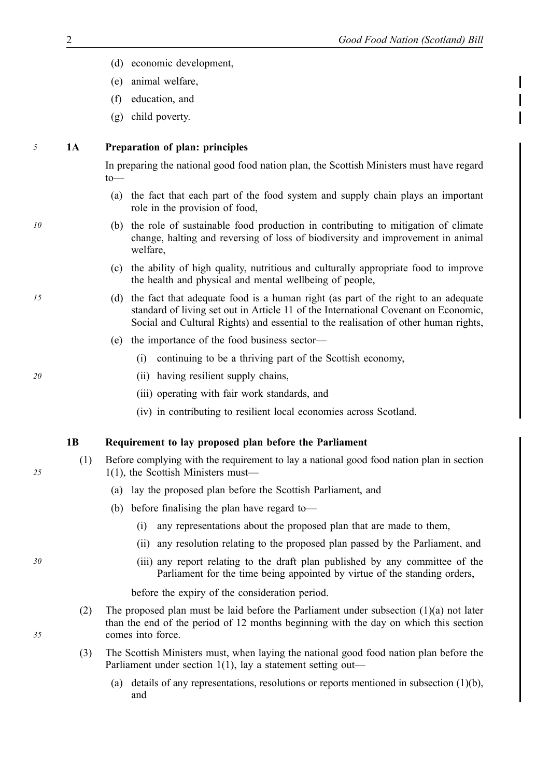- (d) economic development,
- (e) animal welfare,
- (f) education, and
- (g) child poverty.

# *5* **1A Preparation of plan: principles**

In preparing the national good food nation plan, the Scottish Ministers must have regard to—

- (a) the fact that each part of the food system and supply chain plays an important role in the provision of food,
- *10* (b) the role of sustainable food production in contributing to mitigation of climate change, halting and reversing of loss of biodiversity and improvement in animal welfare,
	- (c) the ability of high quality, nutritious and culturally appropriate food to improve the health and physical and mental wellbeing of people,
- *15* (d) the fact that adequate food is a human right (as part of the right to an adequate standard of living set out in Article 11 of the International Covenant on Economic, Social and Cultural Rights) and essential to the realisation of other human rights,
	- (e) the importance of the food business sector—
		- (i) continuing to be a thriving part of the Scottish economy,
- *20* (ii) having resilient supply chains,
	- (iii) operating with fair work standards, and
	- (iv) in contributing to resilient local economies across Scotland.

#### **1B Requirement to lay proposed plan before the Parliament**

- (1) Before complying with the requirement to lay a national good food nation plan in section 1(1), the Scottish Ministers must—
	- (a) lay the proposed plan before the Scottish Parliament, and
	- (b) before finalising the plan have regard to—
		- (i) any representations about the proposed plan that are made to them,
		- (ii) any resolution relating to the proposed plan passed by the Parliament, and
- *30* (iii) any report relating to the draft plan published by any committee of the Parliament for the time being appointed by virtue of the standing orders,

before the expiry of the consideration period.

- (2) The proposed plan must be laid before the Parliament under subsection (1)(a) not later than the end of the period of 12 months beginning with the day on which this section comes into force.
- (3) The Scottish Ministers must, when laying the national good food nation plan before the Parliament under section 1(1), lay a statement setting out—
	- (a) details of any representations, resolutions or reports mentioned in subsection (1)(b), and

*25*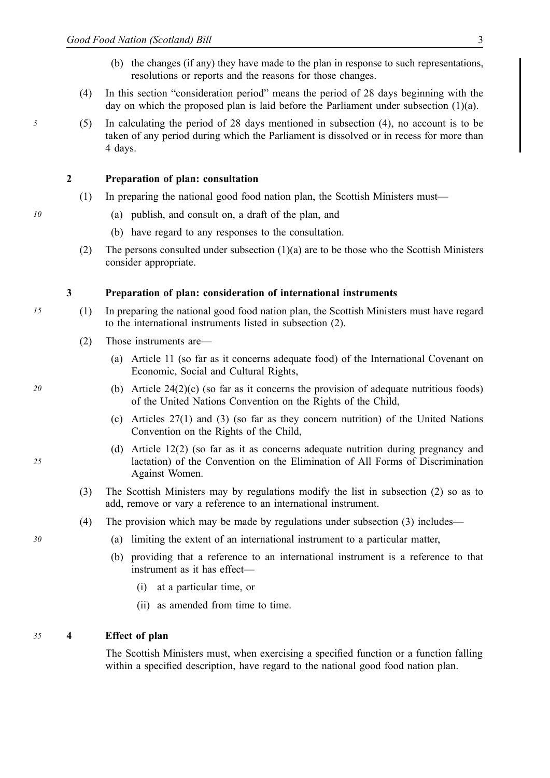- (b) the changes (if any) they have made to the plan in response to such representations, resolutions or reports and the reasons for those changes.
- (4) In this section "consideration period" means the period of 28 days beginning with the day on which the proposed plan is laid before the Parliament under subsection (1)(a).
- *5* (5) In calculating the period of 28 days mentioned in subsection (4), no account is to be taken of any period during which the Parliament is dissolved or in recess for more than 4 days.

## **2 Preparation of plan: consultation**

- (1) In preparing the national good food nation plan, the Scottish Ministers must—
- *10* (a) publish, and consult on, a draft of the plan, and
- (b) have regard to any responses to the consultation.
	- (2) The persons consulted under subsection (1)(a) are to be those who the Scottish Ministers consider appropriate.

#### **3 Preparation of plan: consideration of international instruments**

- *15* (1) In preparing the national good food nation plan, the Scottish Ministers must have regard to the international instruments listed in subsection (2).
	- (2) Those instruments are—
		- (a) Article 11 (so far as it concerns adequate food) of the International Covenant on Economic, Social and Cultural Rights,
- *20* (b) Article 24(2)(c) (so far as it concerns the provision of adequate nutritious foods) of the United Nations Convention on the Rights of the Child,
	- (c) Articles 27(1) and (3) (so far as they concern nutrition) of the United Nations Convention on the Rights of the Child,
	- (d) Article 12(2) (so far as it as concerns adequate nutrition during pregnancy and lactation) of the Convention on the Elimination of All Forms of Discrimination Against Women.
	- (3) The Scottish Ministers may by regulations modify the list in subsection (2) so as to add, remove or vary a reference to an international instrument.
	- (4) The provision which may be made by regulations under subsection (3) includes—
- *30* (a) limiting the extent of an international instrument to a particular matter,
	- (b) providing that a reference to an international instrument is a reference to that instrument as it has effect—
		- (i) at a particular time, or
		- (ii) as amended from time to time.

#### *35* **4 Effect of plan**

The Scottish Ministers must, when exercising a specified function or a function falling within a specified description, have regard to the national good food nation plan.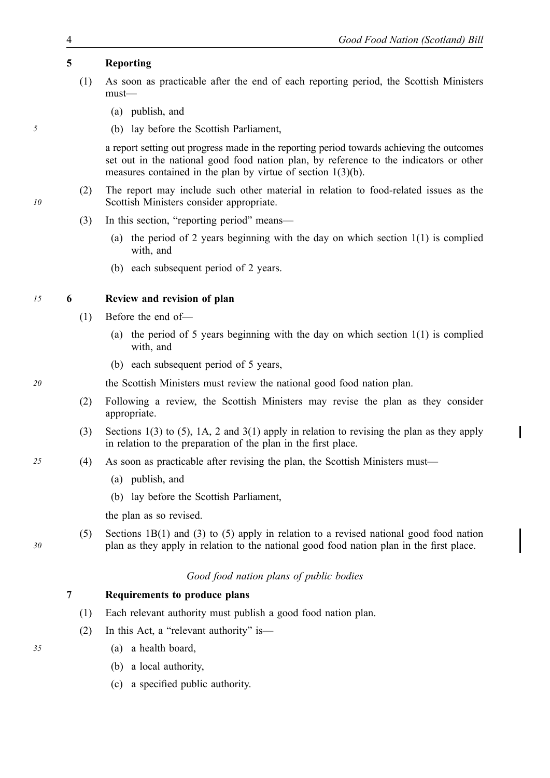# **5 Reporting**

- (1) As soon as practicable after the end of each reporting period, the Scottish Ministers must—
	- (a) publish, and
- *5* (b) lay before the Scottish Parliament,

a report setting out progress made in the reporting period towards achieving the outcomes set out in the national good food nation plan, by reference to the indicators or other measures contained in the plan by virtue of section 1(3)(b).

- (2) The report may include such other material in relation to food-related issues as the Scottish Ministers consider appropriate.
- (3) In this section, "reporting period" means—
	- (a) the period of 2 years beginning with the day on which section  $1(1)$  is complied with, and
	- (b) each subsequent period of 2 years.

# *15* **6 Review and revision of plan**

- (1) Before the end of—
	- (a) the period of 5 years beginning with the day on which section 1(1) is complied with, and
	- (b) each subsequent period of 5 years,

*20* the Scottish Ministers must review the national good food nation plan.

- (2) Following a review, the Scottish Ministers may revise the plan as they consider appropriate.
- (3) Sections 1(3) to (5), 1A, 2 and 3(1) apply in relation to revising the plan as they apply in relation to the preparation of the plan in the first place.
- *25* (4) As soon as practicable after revising the plan, the Scottish Ministers must—
	- (a) publish, and
	- (b) lay before the Scottish Parliament,

the plan as so revised.

(5) Sections 1B(1) and (3) to (5) apply in relation to a revised national good food nation plan as they apply in relation to the national good food nation plan in the first place.

# *Good food nation plans of public bodies*

# **7 Requirements to produce plans**

- (1) Each relevant authority must publish a good food nation plan.
- (2) In this Act, a "relevant authority" is—
- *35* (a) a health board,
	- (b) a local authority,
	- (c) a specified public authority.

*10*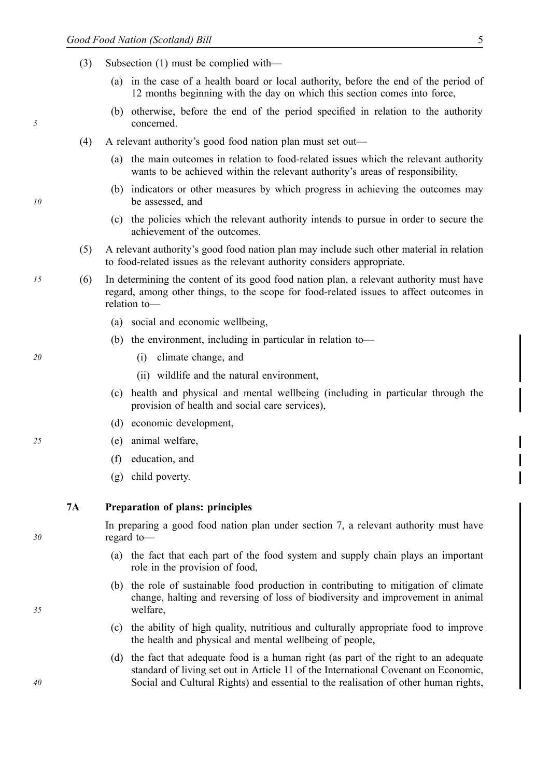- (3) Subsection (1) must be complied with—
	- (a) in the case of a health board or local authority, before the end of the period of 12 months beginning with the day on which this section comes into force,
	- (b) otherwise, before the end of the period specified in relation to the authority concerned.
- (4) A relevant authority's good food nation plan must set out—
	- (a) the main outcomes in relation to food-related issues which the relevant authority wants to be achieved within the relevant authority's areas of responsibility,
	- (b) indicators or other measures by which progress in achieving the outcomes may be assessed, and
- *1* (c) the policies which the relevant authority intends to pursue in order to secure the achievement of the outcomes.
	- (5) A relevant authority's good food nation plan may include such other material in relation to food-related issues as the relevant authority considers appropriate.
	- *15* (6) In determining the content of its good food nation plan, a relevant authority must have regard, among other things, to the scope for food-related issues to affect outcomes in relation to—
		- (a) social and economic wellbeing,
		- (b) the environment, including in particular in relation to—
	- *20* (i) climate change, and
		- (ii) wildlife and the natural environment,
		- (c) health and physical and mental wellbeing (including in particular through the provision of health and social care services),
		- (d) economic development,
	- *25* (e) animal welfare,
		- (f) education, and
		- (g) child poverty.

**7A Preparation of plans: principles** 

In preparing a good food nation plan under section 7, a relevant authority must have regard to—

- (a) the fact that each part of the food system and supply chain plays an important role in the provision of food,
- (b) the role of sustainable food production in contributing to mitigation of climate change, halting and reversing of loss of biodiversity and improvement in animal welfare,
- (c) the ability of high quality, nutritious and culturally appropriate food to improve the health and physical and mental wellbeing of people,
- (d) the fact that adequate food is a human right (as part of the right to an adequate standard of living set out in Article 11 of the International Covenant on Economic, Social and Cultural Rights) and essential to the realisation of other human rights,

*35*

*40*

*10*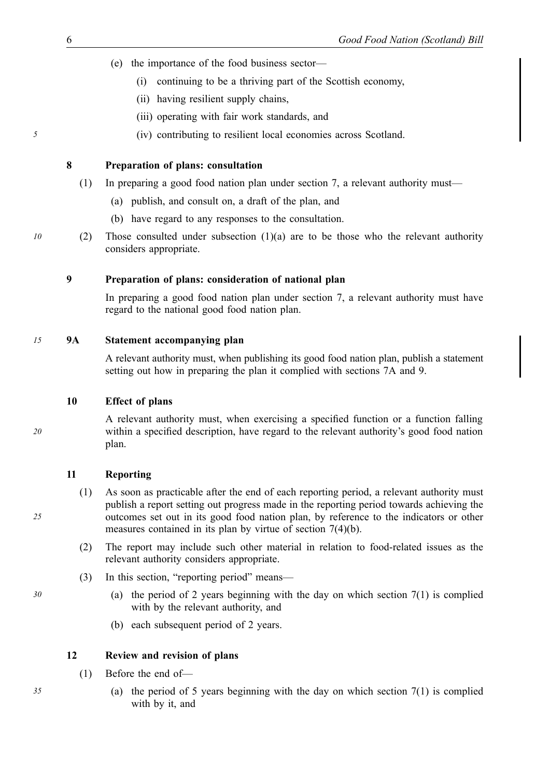- (e) the importance of the food business sector—
	- (i) continuing to be a thriving part of the Scottish economy,
	- (ii) having resilient supply chains,
	- (iii) operating with fair work standards, and
- *5* (iv) contributing to resilient local economies across Scotland.

#### **8 Preparation of plans: consultation**

- (1) In preparing a good food nation plan under section 7, a relevant authority must—
	- (a) publish, and consult on, a draft of the plan, and
	- (b) have regard to any responses to the consultation.
- *10* (2) Those consulted under subsection  $(1)(a)$  are to be those who the relevant authority considers appropriate.

# **9 Preparation of plans: consideration of national plan**

In preparing a good food nation plan under section 7, a relevant authority must have regard to the national good food nation plan.

#### *15* **9A Statement accompanying plan**

A relevant authority must, when publishing its good food nation plan, publish a statement setting out how in preparing the plan it complied with sections 7A and 9.

# **10 Effect of plans**

A relevant authority must, when exercising a specified function or a function falling within a specified description, have regard to the relevant authority's good food nation plan.

#### **11 Reporting**

- (1) As soon as practicable after the end of each reporting period, a relevant authority must publish a report setting out progress made in the reporting period towards achieving the outcomes set out in its good food nation plan, by reference to the indicators or other measures contained in its plan by virtue of section 7(4)(b).
- (2) The report may include such other material in relation to food-related issues as the relevant authority considers appropriate.
- (3) In this section, "reporting period" means—
- *30* (a) the period of 2 years beginning with the day on which section 7(1) is complied with by the relevant authority, and
	- (b) each subsequent period of 2 years.

#### **12 Review and revision of plans**

- (1) Before the end of—
- *35* (a) the period of 5 years beginning with the day on which section 7(1) is complied with by it, and

*25*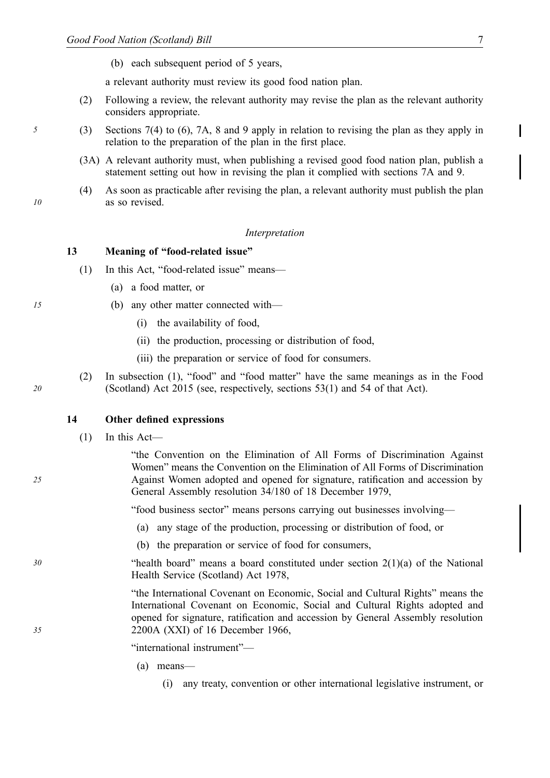(b) each subsequent period of 5 years,

a relevant authority must review its good food nation plan.

- (2) Following a review, the relevant authority may revise the plan as the relevant authority considers appropriate.
- *5* (3) Sections 7(4) to (6), 7A, 8 and 9 apply in relation to revising the plan as they apply in relation to the preparation of the plan in the first place.
	- (3A) A relevant authority must, when publishing a revised good food nation plan, publish a statement setting out how in revising the plan it complied with sections 7A and 9.
	- (4) As soon as practicable after revising the plan, a relevant authority must publish the plan as so revised.

#### *1 Interpretation*

#### **13 Meaning of "food-related issue"**

- (1) In this Act, "food-related issue" means—
	- (a) a food matter, or
- *15* (b) any other matter connected with—
	- (i) the availability of food,
	- (ii) the production, processing or distribution of food,
	- (iii) the preparation or service of food for consumers.
	- (2) In subsection (1), "food" and "food matter" have the same meanings as in the Food (Scotland) Act 2015 (see, respectively, sections 53(1) and 54 of that Act).

#### **14 Other defined expressions**

 $(1)$  In this Act—

"the Convention on the Elimination of All Forms of Discrimination Against Women" means the Convention on the Elimination of All Forms of Discrimination Against Women adopted and opened for signature, ratification and accession by General Assembly resolution 34/180 of 18 December 1979,

"food business sector" means persons carrying out businesses involving—

- (a) any stage of the production, processing or distribution of food, or
- (b) the preparation or service of food for consumers,
- *30* "health board" means a board constituted under section 2(1)(a) of the National Health Service (Scotland) Act 1978,

"the International Covenant on Economic, Social and Cultural Rights" means the International Covenant on Economic, Social and Cultural Rights adopted and opened for signature, ratification and accession by General Assembly resolution 2200A (XXI) of 16 December 1966,

"international instrument"—

- (a) means—
	- (i) any treaty, convention or other international legislative instrument, or

*10*

*20*

*25*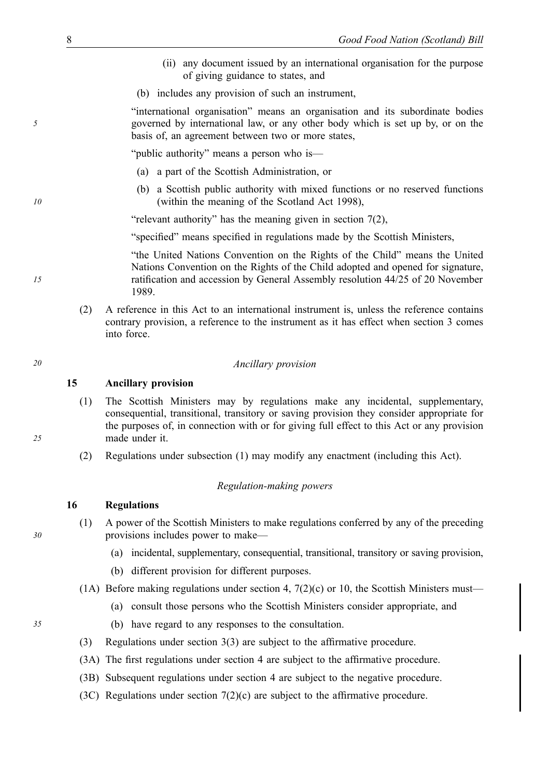- (ii) any document issued by an international organisation for the purpose of giving guidance to states, and
- (b) includes any provision of such an instrument,

"international organisation" means an organisation and its subordinate bodies governed by international law, or any other body which is set up by, or on the basis of, an agreement between two or more states,

"public authority" means a person who is—

- (a) a part of the Scottish Administration, or
- (b) a Scottish public authority with mixed functions or no reserved functions (within the meaning of the Scotland Act 1998),

"relevant authority" has the meaning given in section  $7(2)$ ,

"specified" means specified in regulations made by the Scottish Ministers,

"the United Nations Convention on the Rights of the Child" means the United Nations Convention on the Rights of the Child adopted and opened for signature, ratification and accession by General Assembly resolution 44/25 of 20 November 1989.

(2) A reference in this Act to an international instrument is, unless the reference contains contrary provision, a reference to the instrument as it has effect when section 3 comes into force.

#### *20 Ancillary provision*

#### **15 Ancillary provision**

- (1) The Scottish Ministers may by regulations make any incidental, supplementary, consequential, transitional, transitory or saving provision they consider appropriate for the purposes of, in connection with or for giving full effect to this Act or any provision made under it.
- (2) Regulations under subsection (1) may modify any enactment (including this Act).

#### *Regulation-making powers*

## **16 Regulations**

- (1) A power of the Scottish Ministers to make regulations conferred by any of the preceding provisions includes power to make—
	- (a) incidental, supplementary, consequential, transitional, transitory or saving provision,
	- (b) different provision for different purposes.
- (1A) Before making regulations under section 4,  $7(2)(c)$  or 10, the Scottish Ministers must—
	- (a) consult those persons who the Scottish Ministers consider appropriate, and
- *35* (b) have regard to any responses to the consultation.
	- (3) Regulations under section 3(3) are subject to the affirmative procedure.
	- (3A) The first regulations under section 4 are subject to the affirmative procedure.
	- (3B) Subsequent regulations under section 4 are subject to the negative procedure.
	- (3C) Regulations under section  $7(2)(c)$  are subject to the affirmative procedure.

*30*

*25*

# *5*

*15*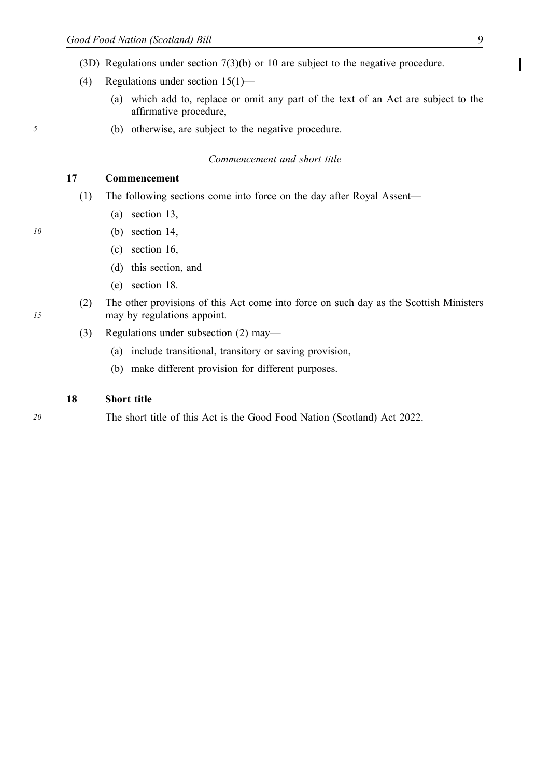- (3D) Regulations under section 7(3)(b) or 10 are subject to the negative procedure.
- (4) Regulations under section 15(1)—
	- (a) which add to, replace or omit any part of the text of an Act are subject to the affirmative procedure,
- *5* (b) otherwise, are subject to the negative procedure.

# *Commencement and short title*

# **17 Commencement**

- (1) The following sections come into force on the day after Royal Assent—
	- (a) section 13,
- *10* (b) section 14,
- *1* (c) section 16,
	- (d) this section, and
	- (e) section 18.
	- (2) The other provisions of this Act come into force on such day as the Scottish Ministers may by regulations appoint.
	- (3) Regulations under subsection (2) may—
		- (a) include transitional, transitory or saving provision,
		- (b) make different provision for different purposes.

#### **18 Short title**

*20* The short title of this Act is the Good Food Nation (Scotland) Act 2022.

Ι